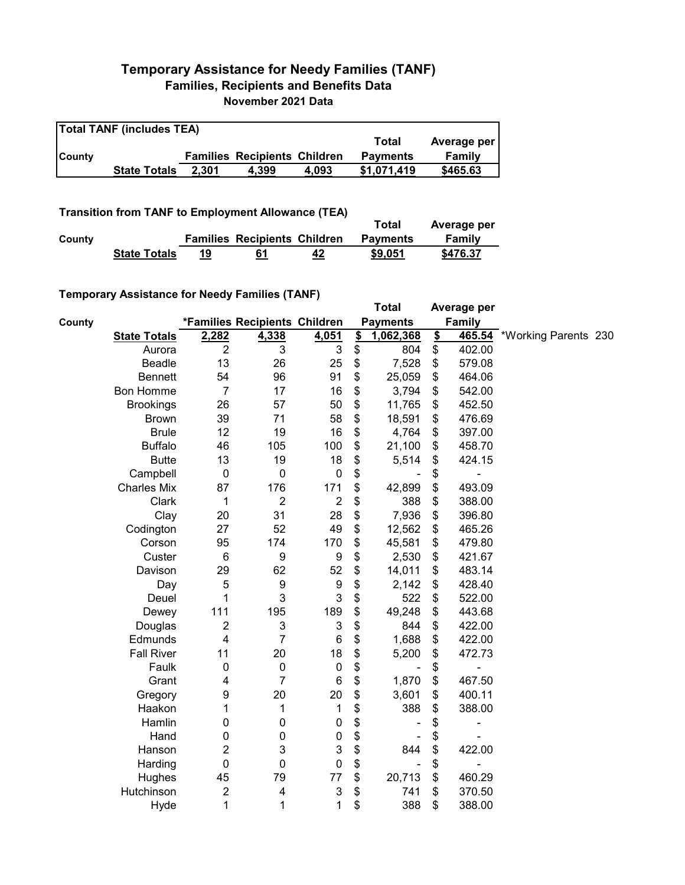## **Temporary Assistance for Needy Families (TANF) Families, Recipients and Benefits Data November 2021 Data**

| <b>Total TANF (includes TEA)</b> |                     |       |                                     |       |                 |             |  |  |
|----------------------------------|---------------------|-------|-------------------------------------|-------|-----------------|-------------|--|--|
|                                  |                     |       |                                     |       | Total           | Average per |  |  |
| <b>County</b>                    |                     |       | <b>Families Recipients Children</b> |       | <b>Payments</b> | Family      |  |  |
|                                  | <b>State Totals</b> | 2.301 | 4.399                               | 4.093 | \$1.071.419     | \$465.63    |  |  |

**Transition from TANF to Employment Allowance (TEA)**

|        | <b>ITAIISKIUII ITUIII TANI TU LIIIDIUVIIIEIII AIIUWAIIUE (TLA)</b> |    |                                     |    | Total           | Average per |
|--------|--------------------------------------------------------------------|----|-------------------------------------|----|-----------------|-------------|
| County |                                                                    |    | <b>Families Recipients Children</b> |    | <b>Payments</b> | Family      |
|        | <b>State Totals</b>                                                | 19 | 61                                  | 42 | \$9,051         | \$476.37    |

## **Temporary Assistance for Needy Families (TANF)**

|        |                     |                  |                               |                           |               | <b>Total</b>    |               | Average per   |                      |  |
|--------|---------------------|------------------|-------------------------------|---------------------------|---------------|-----------------|---------------|---------------|----------------------|--|
| County |                     |                  | *Families Recipients Children |                           |               | <b>Payments</b> |               | <b>Family</b> |                      |  |
|        | <b>State Totals</b> | 2,282            | 4,338                         | 4,051                     | $\frac{1}{2}$ | 1,062,368       | $\frac{2}{2}$ | 465.54        | *Working Parents 230 |  |
|        | Aurora              | $\overline{2}$   | 3                             | 3                         | \$            | 804             | \$            | 402.00        |                      |  |
|        | Beadle              | 13               | 26                            | 25                        | \$            | 7,528           | \$            | 579.08        |                      |  |
|        | <b>Bennett</b>      | 54               | 96                            | 91                        | \$            | 25,059          | \$            | 464.06        |                      |  |
|        | <b>Bon Homme</b>    | $\overline{7}$   | 17                            | 16                        | \$            | 3,794           | \$            | 542.00        |                      |  |
|        | <b>Brookings</b>    | 26               | 57                            | 50                        | \$            | 11,765          | \$            | 452.50        |                      |  |
|        | <b>Brown</b>        | 39               | 71                            | 58                        | \$            | 18,591          | \$            | 476.69        |                      |  |
|        | <b>Brule</b>        | 12               | 19                            | 16                        | \$            | 4,764           | \$            | 397.00        |                      |  |
|        | <b>Buffalo</b>      | 46               | 105                           | 100                       | \$            | 21,100          | \$            | 458.70        |                      |  |
|        | <b>Butte</b>        | 13               | 19                            | 18                        | \$            | 5,514           | \$            | 424.15        |                      |  |
|        | Campbell            | $\pmb{0}$        | $\mathbf 0$                   | $\boldsymbol{0}$          | \$            |                 | \$            |               |                      |  |
|        | <b>Charles Mix</b>  | 87               | 176                           | 171                       | \$            | 42,899          | \$            | 493.09        |                      |  |
|        | Clark               | 1                | 2                             | $\overline{2}$            | \$            | 388             | \$            | 388.00        |                      |  |
|        | Clay                | 20               | 31                            | 28                        | \$            | 7,936           | \$            | 396.80        |                      |  |
|        | Codington           | 27               | 52                            | 49                        | \$            | 12,562          | \$            | 465.26        |                      |  |
|        | Corson              | 95               | 174                           | 170                       | \$            | 45,581          | \$            | 479.80        |                      |  |
|        | Custer              | 6                | 9                             | 9                         | \$            | 2,530           | \$            | 421.67        |                      |  |
|        | Davison             | 29               | 62                            | 52                        | \$            | 14,011          | \$            | 483.14        |                      |  |
|        | Day                 | 5                | 9                             | 9                         | \$            | 2,142           | \$            | 428.40        |                      |  |
|        | Deuel               | 1                | 3                             | 3                         | \$            | 522             | \$            | 522.00        |                      |  |
|        | Dewey               | 111              | 195                           | 189                       | \$            | 49,248          | \$            | 443.68        |                      |  |
|        | Douglas             | $\overline{c}$   | $\mathbf{3}$                  | $\ensuremath{\mathsf{3}}$ | \$            | 844             | \$            | 422.00        |                      |  |
|        | Edmunds             | 4                | 7                             | 6                         | \$            | 1,688           | \$            | 422.00        |                      |  |
|        | <b>Fall River</b>   | 11               | 20                            | 18                        | \$            | 5,200           | \$            | 472.73        |                      |  |
|        | Faulk               | 0                | 0                             | $\pmb{0}$                 | \$            |                 | \$            |               |                      |  |
|        | Grant               | 4                | $\overline{7}$                | 6                         | \$            | 1,870           | \$            | 467.50        |                      |  |
|        | Gregory             | 9                | 20                            | 20                        | \$            | 3,601           | \$            | 400.11        |                      |  |
|        | Haakon              | 1                | 1                             | 1                         | \$            | 388             | \$            | 388.00        |                      |  |
|        | Hamlin              | 0                | 0                             | 0                         | \$            |                 | \$            |               |                      |  |
|        | Hand                | 0                | 0                             | 0                         | \$            |                 | \$            |               |                      |  |
|        | Hanson              | 2                | 3                             | $\ensuremath{\mathsf{3}}$ | \$            | 844             | \$            | 422.00        |                      |  |
|        | Harding             | 0                | 0                             | $\pmb{0}$                 | \$            |                 | \$            |               |                      |  |
|        | Hughes              | 45               | 79                            | 77                        | \$            | 20,713          | \$            | 460.29        |                      |  |
|        | Hutchinson          | $\boldsymbol{2}$ | 4                             | $\ensuremath{\mathsf{3}}$ | \$            | 741             | \$            | 370.50        |                      |  |
|        | Hyde                | 1                | 1                             | 1                         | \$            | 388             | \$            | 388.00        |                      |  |